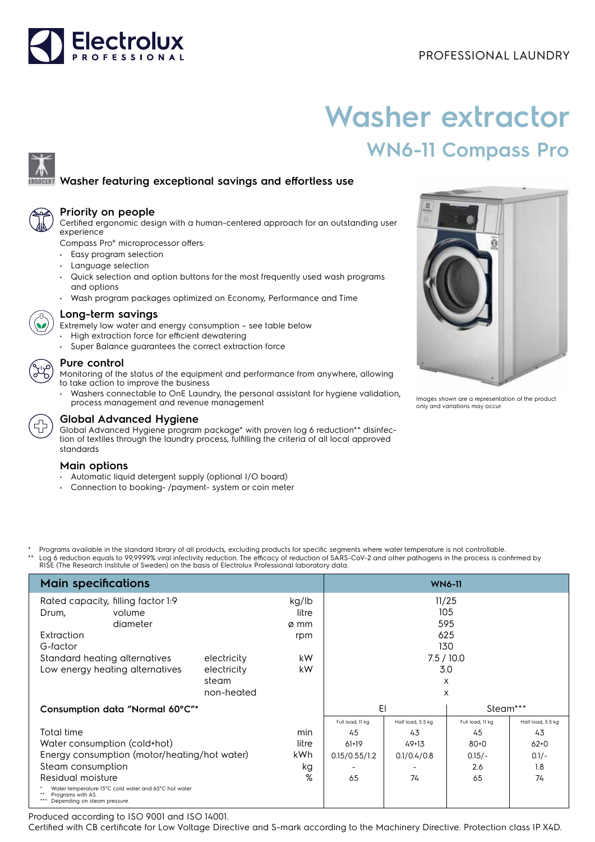# Electrolux

## PROFESSIONAL LAUNDRY

# **Washer extractor WN6-11 Compass Pro**

## **Washer featuring exceptional savings and effortless use**



#### **Priority on people**

Certified ergonomic design with a human-centered approach for an outstanding user experience

Compass Pro® microprocessor offers:

- Easy program selection
- Language selection
- Quick selection and option buttons for the most frequently used wash programs and options
- Wash program packages optimized on Economy, Performance and Time



#### **Long-term savings**

Extremely low water and energy consumption – see table below

- High extraction force for efficient dewatering
- Super Balance guarantees the correct extraction force

#### **Pure control**

Monitoring of the status of the equipment and performance from anywhere, allowing to take action to improve the business

• Washers connectable to OnE Laundry, the personal assistant for hygiene validation, process management and revenue management



#### **Global Advanced Hygiene**

Global Advanced Hygiene program package\* with proven log 6 reduction\*\* disinfection of textiles through the laundry process, fulfilling the criteria of all local approved standards

#### **Main options**

- Automatic liquid detergent supply (optional I/O board)
- Connection to booking- /payment- system or coin meter



Images shown are a representation of the product only and variations may occur.

Programs available in the standard library of all products, excluding products for specific segments where water temperature is not controllable. \*\* Log 6 reduction equals to 99,9999% viral infectivity reduction. The efficacy of reduction of SARS-CoV-2 and other pathogens in the process is confirmed by<br>RISE (The Research Institute of Sweden) on the basis of Electrol

| <b>Main specifications</b>                                                                                 | <b>WN6-11</b> |       |                  |                   |                  |                   |
|------------------------------------------------------------------------------------------------------------|---------------|-------|------------------|-------------------|------------------|-------------------|
| Rated capacity, filling factor 1:9<br>kg/lb                                                                |               |       | 11/25            |                   |                  |                   |
| volume<br>Drum,                                                                                            |               | litre | 105              |                   |                  |                   |
| diameter                                                                                                   |               | ø mm  |                  |                   | 595              |                   |
| Extraction                                                                                                 |               | rpm   |                  |                   | 625              |                   |
| G-factor                                                                                                   |               |       |                  |                   | 130              |                   |
| Standard heating alternatives                                                                              | electricity   | kW.   | 7.5/10.0         |                   |                  |                   |
| Low energy heating alternatives                                                                            | electricity   | kW    | 3.0              |                   |                  |                   |
|                                                                                                            | steam         |       |                  |                   | $\times$         |                   |
|                                                                                                            | non-heated    |       |                  |                   | X                |                   |
| Consumption data "Normal 60°C"*                                                                            |               | EI    |                  | Steam***          |                  |                   |
|                                                                                                            |               |       | Full load, 11 kg | Half load, 5.5 kg | Full load, 11 kg | Half load, 5.5 kg |
| Total time                                                                                                 |               | min   | 45               | 43                | 45               | 43                |
| Water consumption (cold+hot)                                                                               |               | litre | 61+19            | $49+13$           | $80 + 0$         | $62+0$            |
| Energy consumption (motor/heating/hot water)                                                               |               | kWh   | 0.15/0.55/1.2    | 0.1/0.4/0.8       | $0.15/-$         | $0.1/-$           |
| Steam consumption                                                                                          |               | kg    |                  |                   | 2.6              | 1.8               |
| Residual moisture                                                                                          |               | %     | 65               | 74                | 65               | 74                |
| Water temperature 15°C cold water and 65°C hot water.<br>Programs with AS.<br>Depending on steam pressure. |               |       |                  |                   |                  |                   |

Produced according to ISO 9001 and ISO 14001.

Certified with CB certificate for Low Voltage Directive and S-mark according to the Machinery Directive. Protection class IP X4D.